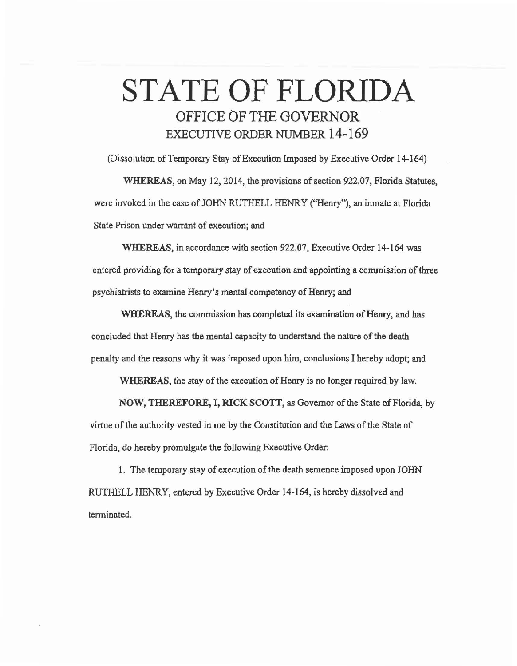## STATE OF FLORIDA OFFICE OF THE GOVERNOR EXECUTIVE ORDER NUMBER 14-169

(Dissolution of Temporary Stay of Execution Imposed by Executive Order 14-164) WHEREAS, on May 12, 2014, the provisions of section 922.07, Florida Statutes,

were invoked in the case of JOHN RUTHELL HENRY (''Henry"), an inmate at Florida State Prison under warrant of execution; and

WHEREAS, in accordance with section 922.07, Executive Order 14-164 was entered providing for a temporary stay of execution and appointing a commission of three psychiatrists to examine Henry's mental competency of Henry; and

WHEREAS, the commission has completed its examination of Henry, and has concluded that Henry has the mental capacity to understand the nature of the death penalty and the reasons why it was imposed upon him, conclusions I hereby adopt; and

WHEREAS, the stay of the execution of Henry is no longer required by law.

NOW, THEREFORE, I, RICK SCOTT, as Governor of the State of Florida, by virtue of the authority vested in me by the Constitution and the Laws of the State of Florida, do hereby promulgate the following Executive Order:

I. The temporary stay of execution of the death sentence imposed upon JOHN RUTHELL HENRY, entered by Executive Order 14-164, is hereby dissolved and tenninated.